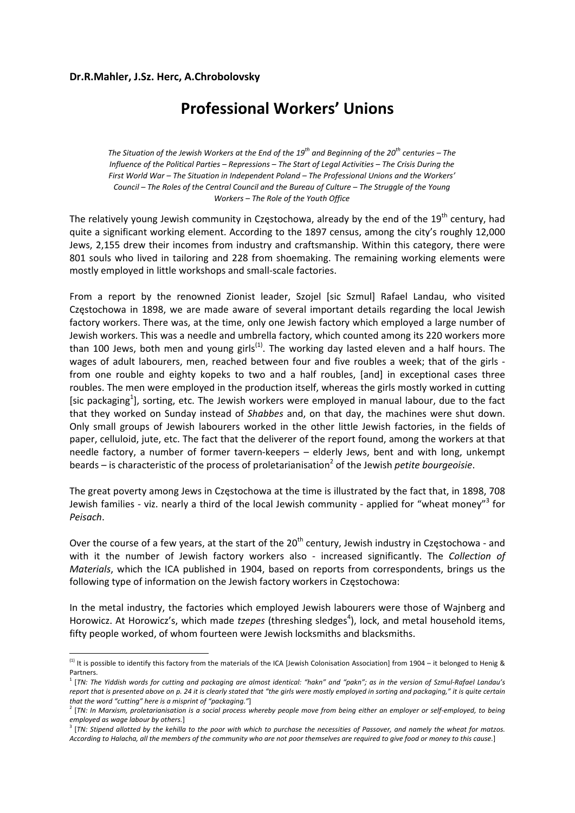## **Dr.R.Mahler, J.Sz. Herc, A.Chrobolovsky**

## **Professional Workers' Unions**

The Situation of the Jewish Workers at the End of the 19<sup>th</sup> and Beginning of the 20<sup>th</sup> centuries – The Influence of the Political Parties - Repressions - The Start of Legal Activities - The Crisis During the *First World War – The Situation in Independent Poland – The Professional Unions and the Workers'* Council - The Roles of the Central Council and the Bureau of Culture - The Struggle of the Young *Workers – The Role of the Youth Office*

The relatively young Jewish community in Częstochowa, already by the end of the  $19<sup>th</sup>$  century, had quite a significant working element. According to the 1897 census, among the city's roughly 12,000 Jews, 2,155 drew their incomes from industry and craftsmanship. Within this category, there were 801 souls who lived in tailoring and 228 from shoemaking. The remaining working elements were mostly employed in little workshops and small‐scale factories.

From a report by the renowned Zionist leader, Szojel [sic Szmul] Rafael Landau, who visited Częstochowa in 1898, we are made aware of several important details regarding the local Jewish factory workers. There was, at the time, only one Jewish factory which employed a large number of Jewish workers. This was a needle and umbrella factory, which counted among its 220 workers more than 100 Jews, both men and young girls<sup>(1)</sup>. The working day lasted eleven and a half hours. The wages of adult labourers, men, reached between four and five roubles a week; that of the girls from one rouble and eighty kopeks to two and a half roubles, [and] in exceptional cases three roubles. The men were employed in the production itself, whereas the girls mostly worked in cutting [sic packaging<sup>1</sup>], sorting, etc. The Jewish workers were employed in manual labour, due to the fact that they worked on Sunday instead of *Shabbes* and, on that day, the machines were shut down. Only small groups of Jewish labourers worked in the other little Jewish factories, in the fields of paper, celluloid, jute, etc. The fact that the deliverer of the report found, among the workers at that needle factory, a number of former tavern-keepers – elderly Jews, bent and with long, unkempt beards – is characteristic of the process of proletarianisation<sup>2</sup> of the Jewish *petite bourgeoisie*.

The great poverty among Jews in Częstochowa at the time is illustrated by the fact that, in 1898, 708 Jewish families ‐ viz. nearly a third of the local Jewish community ‐ applied for "wheat money"<sup>3</sup> for *Peisach*.

Over the course of a few years, at the start of the  $20<sup>th</sup>$  century, Jewish industry in Częstochowa - and with it the number of Jewish factory workers also ‐ increased significantly. The *Collection of Materials*, which the ICA published in 1904, based on reports from correspondents, brings us the following type of information on the Jewish factory workers in Częstochowa:

In the metal industry, the factories which employed Jewish labourers were those of Wajnberg and Horowicz. At Horowicz's, which made *tzepes* (threshing sledges<sup>4</sup>), lock, and metal household items, fifty people worked, of whom fourteen were Jewish locksmiths and blacksmiths.

 $^{(1)}$  It is possible to identify this factory from the materials of the ICA [Jewish Colonisation Association] from 1904 – it belonged to Henig & Partners.<br><sup>1</sup> [TN: The Yiddish words for cutting and packaging are almost identical: "hakn" and "pakn"; as in the version of Szmul-Rafael Landau's

report that is presented above on p. 24 it is clearly stated that "the girls were mostly employed in sorting and packaging," it is quite certain *that the word "cutting" here is a misprint of "packaging."*]

 $^{2}$  [TN: In Marxism, proletarianisation is a social process whereby people move from being either an employer or self-employed, to being *employed as wage labour by others.*]

 $^3$  [TN: Stipend allotted by the kehilla to the poor with which to purchase the necessities of Passover, and namely the wheat for matzos. According to Halacha, all the members of the community who are not poor themselves are required to give food or money to this cause.]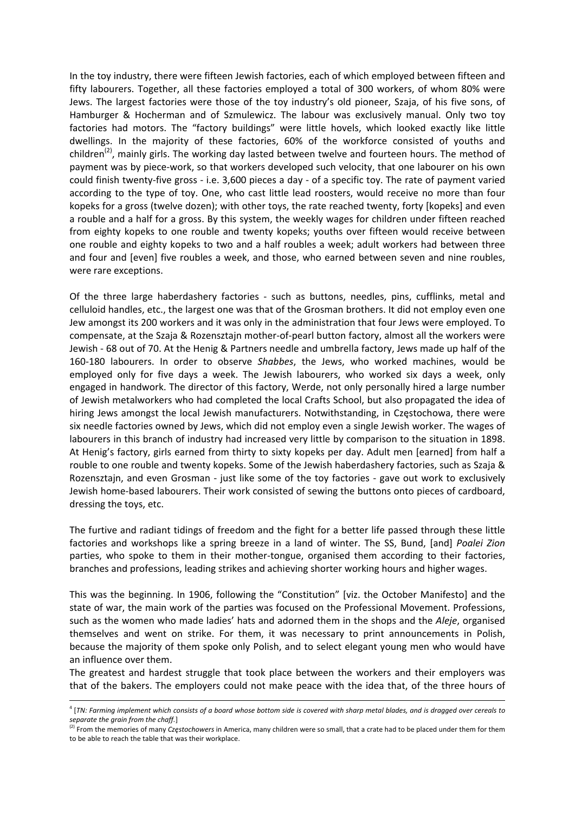In the toy industry, there were fifteen Jewish factories, each of which employed between fifteen and fifty labourers. Together, all these factories employed a total of 300 workers, of whom 80% were Jews. The largest factories were those of the toy industry's old pioneer, Szaja, of his five sons, of Hamburger & Hocherman and of Szmulewicz. The labour was exclusively manual. Only two toy factories had motors. The "factory buildings" were little hovels, which looked exactly like little dwellings. In the majority of these factories, 60% of the workforce consisted of youths and children<sup>(2)</sup>, mainly girls. The working day lasted between twelve and fourteen hours. The method of payment was by piece-work, so that workers developed such velocity, that one labourer on his own could finish twenty‐five gross ‐ i.e. 3,600 pieces a day ‐ of a specific toy. The rate of payment varied according to the type of toy. One, who cast little lead roosters, would receive no more than four kopeks for a gross (twelve dozen); with other toys, the rate reached twenty, forty [kopeks] and even a rouble and a half for a gross. By this system, the weekly wages for children under fifteen reached from eighty kopeks to one rouble and twenty kopeks; youths over fifteen would receive between one rouble and eighty kopeks to two and a half roubles a week; adult workers had between three and four and [even] five roubles a week, and those, who earned between seven and nine roubles, were rare exceptions.

Of the three large haberdashery factories - such as buttons, needles, pins, cufflinks, metal and celluloid handles, etc., the largest one was that of the Grosman brothers. It did not employ even one Jew amongst its 200 workers and it was only in the administration that four Jews were employed. To compensate, at the Szaja & Rozensztajn mother‐of‐pearl button factory, almost all the workers were Jewish ‐ 68 out of 70. At the Henig & Partners needle and umbrella factory, Jews made up half of the 160‐180 labourers. In order to observe *Shabbes*, the Jews, who worked machines, would be employed only for five days a week. The Jewish labourers, who worked six days a week, only engaged in handwork. The director of this factory, Werde, not only personally hired a large number of Jewish metalworkers who had completed the local Crafts School, but also propagated the idea of hiring Jews amongst the local Jewish manufacturers. Notwithstanding, in Częstochowa, there were six needle factories owned by Jews, which did not employ even a single Jewish worker. The wages of labourers in this branch of industry had increased very little by comparison to the situation in 1898. At Henig's factory, girls earned from thirty to sixty kopeks per day. Adult men [earned] from half a rouble to one rouble and twenty kopeks. Some of the Jewish haberdashery factories, such as Szaja & Rozensztajn, and even Grosman - just like some of the toy factories - gave out work to exclusively Jewish home‐based labourers. Their work consisted of sewing the buttons onto pieces of cardboard, dressing the toys, etc.

The furtive and radiant tidings of freedom and the fight for a better life passed through these little factories and workshops like a spring breeze in a land of winter. The SS, Bund, [and] *Poalei Zion* parties, who spoke to them in their mother-tongue, organised them according to their factories, branches and professions, leading strikes and achieving shorter working hours and higher wages.

This was the beginning. In 1906, following the "Constitution" [viz. the October Manifesto] and the state of war, the main work of the parties was focused on the Professional Movement. Professions, such as the women who made ladies' hats and adorned them in the shops and the *Aleje*, organised themselves and went on strike. For them, it was necessary to print announcements in Polish, because the majority of them spoke only Polish, and to select elegant young men who would have an influence over them.

The greatest and hardest struggle that took place between the workers and their employers was that of the bakers. The employers could not make peace with the idea that, of the three hours of

<sup>&</sup>lt;u> 1989 - Johann Barn, amerikansk politiker (d. 1989)</u> <sup>4</sup> [TN: Farming implement which consists of a board whose bottom side is covered with sharp metal blades, and is dragged over cereals to *separate the grain from the chaff.*]

<sup>(2)</sup> From the memories of many *Częstochowers* in America, many children were so small, that a crate had to be placed under them for them to be able to reach the table that was their workplace.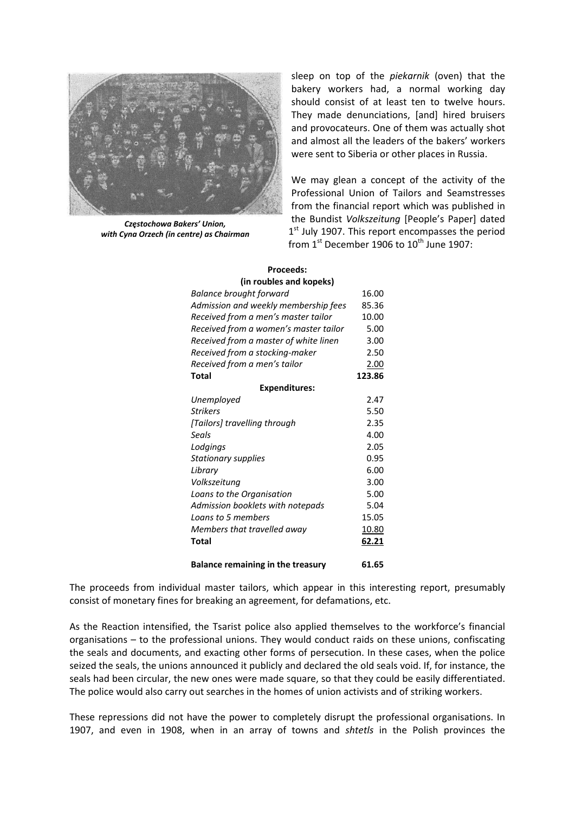

*Częstochowa Bakers' Union, with Cyna Orzech (in centre) as Chairman*

sleep on top of the *piekarnik* (oven) that the bakery workers had, a normal working day should consist of at least ten to twelve hours. They made denunciations, [and] hired bruisers and provocateurs. One of them was actually shot and almost all the leaders of the bakers' workers were sent to Siberia or other places in Russia.

We may glean a concept of the activity of the Professional Union of Tailors and Seamstresses from the financial report which was published in the Bundist *Volkszeitung* [People's Paper] dated  $1<sup>st</sup>$  July 1907. This report encompasses the period from  $1<sup>st</sup>$  December 1906 to  $10<sup>th</sup>$  June 1907:

| (in roubles and kopeks)                  |             |
|------------------------------------------|-------------|
| Balance brought forward                  | 16.00       |
| Admission and weekly membership fees     | 85.36       |
| Received from a men's master tailor      | 10.00       |
| Received from a women's master tailor    | 5.00        |
| Received from a master of white linen    | 3.00        |
| Received from a stocking-maker           | 2.50        |
| Received from a men's tailor             | <u>2.00</u> |
| Total                                    | 123.86      |
| <b>Expenditures:</b>                     |             |
| Unemployed                               | 2.47        |
| Strikers                                 | 5.50        |
| [Tailors] travelling through             | 2.35        |
| Seals                                    | 4.00        |
| Lodgings                                 | 2.05        |
| Stationary supplies                      | 0.95        |
| Library                                  | 6.00        |
| Volkszeitung                             | 3.00        |
| Loans to the Organisation                | 5.00        |
| Admission booklets with notepads         | 5.04        |
| Loans to 5 members                       | 15.05       |
| Members that travelled away              | 10.80       |
| Total                                    | 62.21       |
| <b>Balance remaining in the treasury</b> | 61.65       |

## **Proceeds:**

The proceeds from individual master tailors, which appear in this interesting report, presumably consist of monetary fines for breaking an agreement, for defamations, etc.

As the Reaction intensified, the Tsarist police also applied themselves to the workforce's financial organisations – to the professional unions. They would conduct raids on these unions, confiscating the seals and documents, and exacting other forms of persecution. In these cases, when the police seized the seals, the unions announced it publicly and declared the old seals void. If, for instance, the seals had been circular, the new ones were made square, so that they could be easily differentiated. The police would also carry out searches in the homes of union activists and of striking workers.

These repressions did not have the power to completely disrupt the professional organisations. In 1907, and even in 1908, when in an array of towns and *shtetls* in the Polish provinces the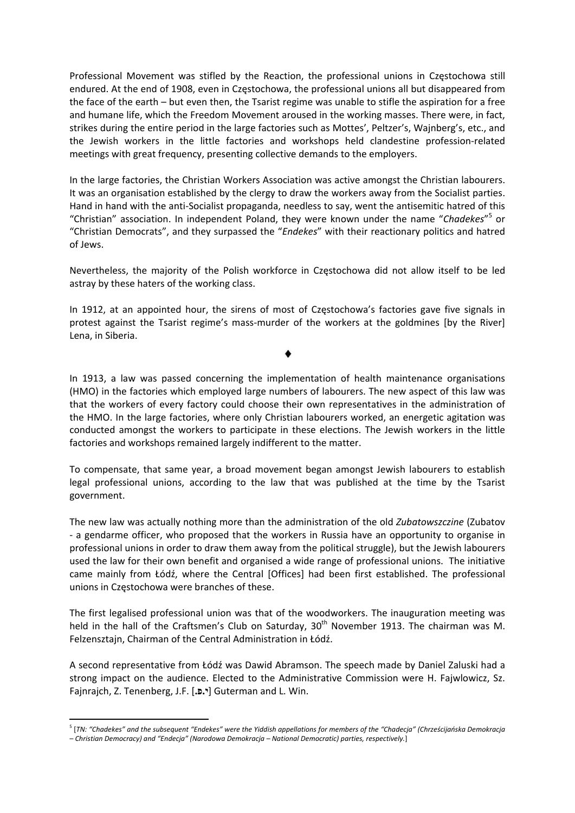Professional Movement was stifled by the Reaction, the professional unions in Częstochowa still endured. At the end of 1908, even in Częstochowa, the professional unions all but disappeared from the face of the earth – but even then, the Tsarist regime was unable to stifle the aspiration for a free and humane life, which the Freedom Movement aroused in the working masses. There were, in fact, strikes during the entire period in the large factories such as Mottes', Peltzer's, Wajnberg's, etc., and the Jewish workers in the little factories and workshops held clandestine profession‐related meetings with great frequency, presenting collective demands to the employers.

In the large factories, the Christian Workers Association was active amongst the Christian labourers. It was an organisation established by the clergy to draw the workers away from the Socialist parties. Hand in hand with the anti‐Socialist propaganda, needless to say, went the antisemitic hatred of this "Christian" association. In independent Poland, they were known under the name "*Chadekes*" <sup>5</sup> or "Christian Democrats", and they surpassed the "*Endekes*" with their reactionary politics and hatred of Jews.

Nevertheless, the majority of the Polish workforce in Częstochowa did not allow itself to be led astray by these haters of the working class.

In 1912, at an appointed hour, the sirens of most of Częstochowa's factories gave five signals in protest against the Tsarist regime's mass‐murder of the workers at the goldmines [by the River] Lena, in Siberia.

In 1913, a law was passed concerning the implementation of health maintenance organisations (HMO) in the factories which employed large numbers of labourers. The new aspect of this law was that the workers of every factory could choose their own representatives in the administration of the HMO. In the large factories, where only Christian labourers worked, an energetic agitation was conducted amongst the workers to participate in these elections. The Jewish workers in the little factories and workshops remained largely indifferent to the matter.

To compensate, that same year, a broad movement began amongst Jewish labourers to establish legal professional unions, according to the law that was published at the time by the Tsarist government.

The new law was actually nothing more than the administration of the old *Zubatowszczine* (Zubatov ‐ a gendarme officer, who proposed that the workers in Russia have an opportunity to organise in professional unions in order to draw them away from the political struggle), but the Jewish labourers used the law for their own benefit and organised a wide range of professional unions. The initiative came mainly from Łódź, where the Central [Offices] had been first established. The professional unions in Częstochowa were branches of these.

The first legalised professional union was that of the woodworkers. The inauguration meeting was held in the hall of the Craftsmen's Club on Saturday,  $30<sup>th</sup>$  November 1913. The chairman was M. Felzensztajn, Chairman of the Central Administration in Łódź.

A second representative from Łódź was Dawid Abramson. The speech made by Daniel Zaluski had a strong impact on the audience. Elected to the Administrative Commission were H. Fajwlowicz, Sz. Fajnrajch, Z. Tenenberg, J.F. [**.פ.י** [Guterman and L. Win.

<sup>&</sup>lt;sup>5</sup> [TN: "Chadekes" and the subsequent "Endekes" were the Yiddish appellations for members of the "Chadecja" (Chrześcijańska Demokracja

*<sup>–</sup> Christian Democracy) and "Endecja" (Narodowa Demokracja – National Democratic) parties, respectively.*]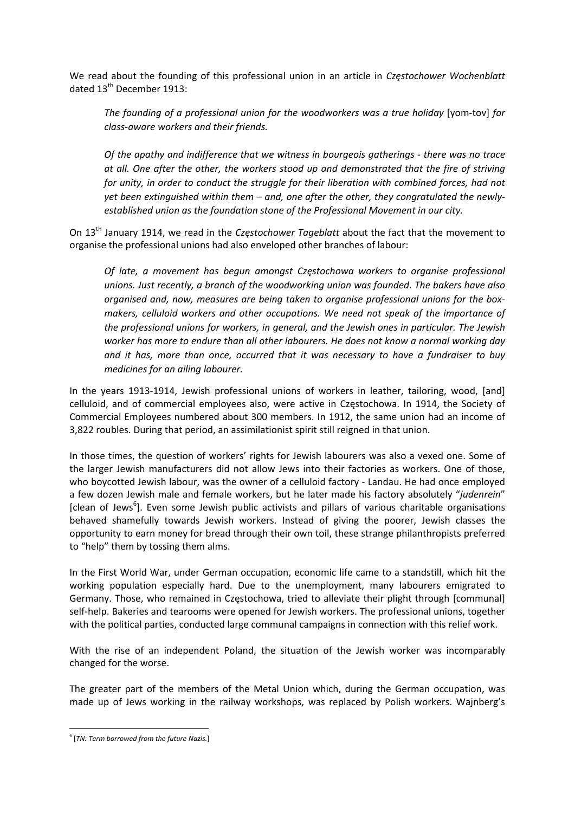We read about the founding of this professional union in an article in *Częstochower Wochenblatt* dated 13<sup>th</sup> December 1913:

*The founding of a professional union for the woodworkers was a true holiday* [yom‐tov] *for class‐aware workers and their friends.*

*Of the apathy and indifference that we witness in bourgeois gatherings ‐ there was no trace at all. One after the other, the workers stood up and demonstrated that the fire of striving for unity, in order to conduct the struggle for their liberation with combined forces, had not yet been extinguished within them – and, one after the other, they congratulated the newly‐ established union as the foundation stone of the Professional Movement in our city.*

On 13th January 1914, we read in the *Częstochower Tageblatt* about the fact that the movement to organise the professional unions had also enveloped other branches of labour:

*Of late, a movement has begun amongst Częstochowa workers to organise professional unions. Just recently, a branch of the woodworking union was founded. The bakers have also organised and, now, measures are being taken to organise professional unions for the box‐ makers, celluloid workers and other occupations. We need not speak of the importance of the professional unions for workers, in general, and the Jewish ones in particular. The Jewish worker has more to endure than all other labourers. He does not know a normal working day and it has, more than once, occurred that it was necessary to have a fundraiser to buy medicines for an ailing labourer.* 

In the years 1913-1914, Jewish professional unions of workers in leather, tailoring, wood, [and] celluloid, and of commercial employees also, were active in Częstochowa. In 1914, the Society of Commercial Employees numbered about 300 members. In 1912, the same union had an income of 3,822 roubles. During that period, an assimilationist spirit still reigned in that union.

In those times, the question of workers' rights for Jewish labourers was also a vexed one. Some of the larger Jewish manufacturers did not allow Jews into their factories as workers. One of those, who boycotted Jewish labour, was the owner of a celluloid factory ‐ Landau. He had once employed a few dozen Jewish male and female workers, but he later made his factory absolutely "*judenrein*" [clean of Jews<sup>6</sup>]. Even some Jewish public activists and pillars of various charitable organisations behaved shamefully towards Jewish workers. Instead of giving the poorer, Jewish classes the opportunity to earn money for bread through their own toil, these strange philanthropists preferred to "help" them by tossing them alms.

In the First World War, under German occupation, economic life came to a standstill, which hit the working population especially hard. Due to the unemployment, many labourers emigrated to Germany. Those, who remained in Częstochowa, tried to alleviate their plight through [communal] self-help. Bakeries and tearooms were opened for Jewish workers. The professional unions, together with the political parties, conducted large communal campaigns in connection with this relief work.

With the rise of an independent Poland, the situation of the Jewish worker was incomparably changed for the worse.

The greater part of the members of the Metal Union which, during the German occupation, was made up of Jews working in the railway workshops, was replaced by Polish workers. Wajnberg's

 <sup>6</sup> [*TN: Term borrowed from the future Nazis.*]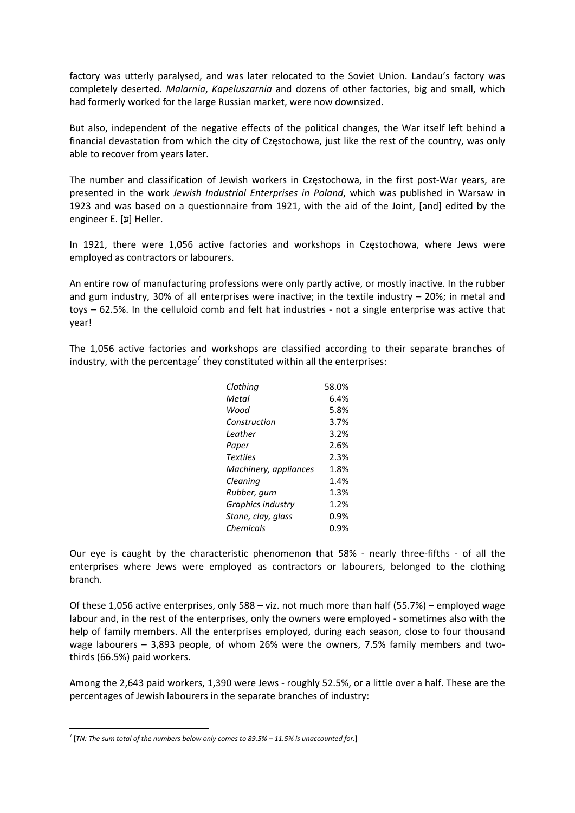factory was utterly paralysed, and was later relocated to the Soviet Union. Landau's factory was completely deserted. *Malarnia*, *Kapeluszarnia* and dozens of other factories, big and small, which had formerly worked for the large Russian market, were now downsized.

But also, independent of the negative effects of the political changes, the War itself left behind a financial devastation from which the city of Częstochowa, just like the rest of the country, was only able to recover from years later.

The number and classification of Jewish workers in Częstochowa, in the first post-War years, are presented in the work *Jewish Industrial Enterprises in Poland*, which was published in Warsaw in 1923 and was based on a questionnaire from 1921, with the aid of the Joint, [and] edited by the engineer E. [**ע**] Heller.

In 1921, there were 1,056 active factories and workshops in Częstochowa, where Jews were employed as contractors or labourers.

An entire row of manufacturing professions were only partly active, or mostly inactive. In the rubber and gum industry, 30% of all enterprises were inactive; in the textile industry – 20%; in metal and toys – 62.5%. In the celluloid comb and felt hat industries ‐ not a single enterprise was active that year!

The 1,056 active factories and workshops are classified according to their separate branches of industry, with the percentage<sup>7</sup> they constituted within all the enterprises:

| 58.0% |
|-------|
| 6.4%  |
| 5.8%  |
| 3.7%  |
| 3.2%  |
| 2.6%  |
| 2.3%  |
| 1.8%  |
| 1.4%  |
| 1.3%  |
| 1.2%  |
| በ.ዓ%  |
| 0.9%  |
|       |

Our eye is caught by the characteristic phenomenon that 58% - nearly three-fifths - of all the enterprises where Jews were employed as contractors or labourers, belonged to the clothing branch.

Of these 1,056 active enterprises, only 588 – viz. not much more than half (55.7%) – employed wage labour and, in the rest of the enterprises, only the owners were employed - sometimes also with the help of family members. All the enterprises employed, during each season, close to four thousand wage labourers – 3,893 people, of whom 26% were the owners, 7.5% family members and twothirds (66.5%) paid workers.

Among the 2,643 paid workers, 1,390 were Jews ‐ roughly 52.5%, or a little over a half. These are the percentages of Jewish labourers in the separate branches of industry:

<sup>7</sup> [*TN: The sum total of the numbers below only comes to 89.5% – 11.5% is unaccounted for.*]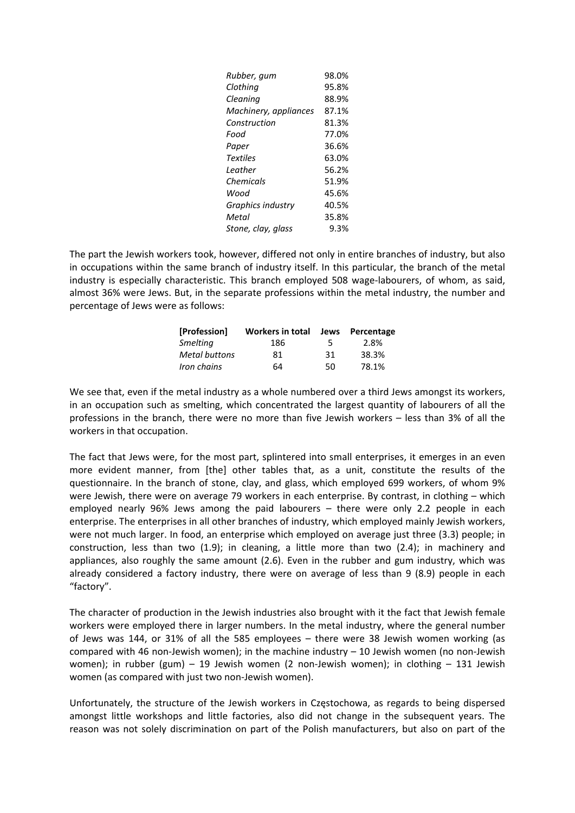| Rubber, gum           | 98.0% |
|-----------------------|-------|
| Clothing              | 95.8% |
| Cleaning              | 88.9% |
| Machinery, appliances | 87.1% |
| Construction          | 81.3% |
| Food                  | 77.0% |
| Paper                 | 36.6% |
| Textiles              | 63.0% |
| Leather               | 56.2% |
| Chemicals             | 51.9% |
| Wood                  | 45.6% |
| Graphics industry     | 40.5% |
| Metal                 | 35.8% |
| Stone, clay, glass    | 9.3%  |

The part the Jewish workers took, however, differed not only in entire branches of industry, but also in occupations within the same branch of industry itself. In this particular, the branch of the metal industry is especially characteristic. This branch employed 508 wage-labourers, of whom, as said, almost 36% were Jews. But, in the separate professions within the metal industry, the number and percentage of Jews were as follows:

| [Profession]         | <b>Workers in total</b> |     | Jews Percentage |
|----------------------|-------------------------|-----|-----------------|
| <b>Smelting</b>      | 186                     | 5   | 2.8%            |
| <b>Metal buttons</b> | 81                      | -31 | 38.3%           |
| Iron chains          | 64                      | 50  | 78.1%           |

We see that, even if the metal industry as a whole numbered over a third Jews amongst its workers, in an occupation such as smelting, which concentrated the largest quantity of labourers of all the professions in the branch, there were no more than five Jewish workers – less than 3% of all the workers in that occupation.

The fact that Jews were, for the most part, splintered into small enterprises, it emerges in an even more evident manner, from [the] other tables that, as a unit, constitute the results of the questionnaire. In the branch of stone, clay, and glass, which employed 699 workers, of whom 9% were Jewish, there were on average 79 workers in each enterprise. By contrast, in clothing – which employed nearly 96% Jews among the paid labourers – there were only 2.2 people in each enterprise. The enterprises in all other branches of industry, which employed mainly Jewish workers, were not much larger. In food, an enterprise which employed on average just three (3.3) people; in construction, less than two (1.9); in cleaning, a little more than two (2.4); in machinery and appliances, also roughly the same amount (2.6). Even in the rubber and gum industry, which was already considered a factory industry, there were on average of less than 9 (8.9) people in each "factory".

The character of production in the Jewish industries also brought with it the fact that Jewish female workers were employed there in larger numbers. In the metal industry, where the general number of Jews was 144, or 31% of all the 585 employees – there were 38 Jewish women working (as compared with 46 non-Jewish women); in the machine industry  $-10$  Jewish women (no non-Jewish women); in rubber (gum) – 19 Jewish women (2 non-Jewish women); in clothing – 131 Jewish women (as compared with just two non-Jewish women).

Unfortunately, the structure of the Jewish workers in Częstochowa, as regards to being dispersed amongst little workshops and little factories, also did not change in the subsequent years. The reason was not solely discrimination on part of the Polish manufacturers, but also on part of the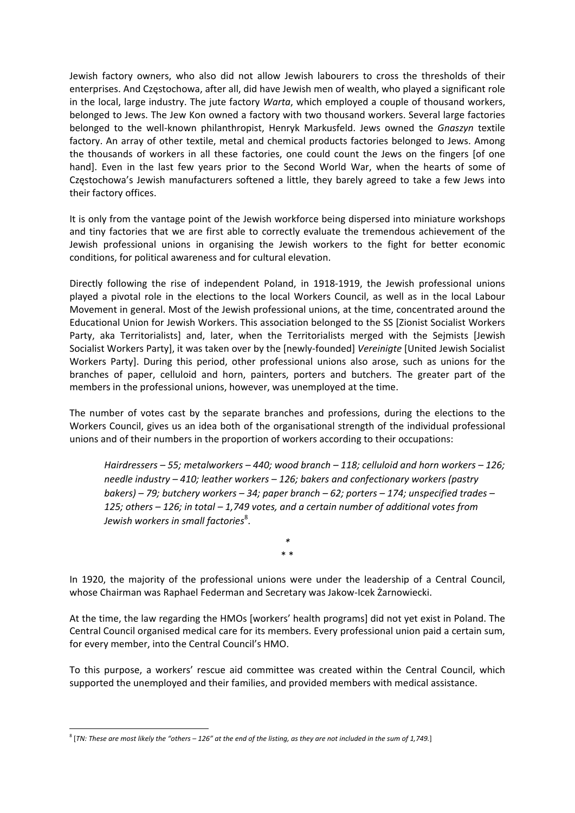Jewish factory owners, who also did not allow Jewish labourers to cross the thresholds of their enterprises. And Częstochowa, after all, did have Jewish men of wealth, who played a significant role in the local, large industry. The jute factory *Warta*, which employed a couple of thousand workers, belonged to Jews. The Jew Kon owned a factory with two thousand workers. Several large factories belonged to the well‐known philanthropist, Henryk Markusfeld. Jews owned the *Gnaszyn* textile factory. An array of other textile, metal and chemical products factories belonged to Jews. Among the thousands of workers in all these factories, one could count the Jews on the fingers [of one hand]. Even in the last few years prior to the Second World War, when the hearts of some of Częstochowa's Jewish manufacturers softened a little, they barely agreed to take a few Jews into their factory offices.

It is only from the vantage point of the Jewish workforce being dispersed into miniature workshops and tiny factories that we are first able to correctly evaluate the tremendous achievement of the Jewish professional unions in organising the Jewish workers to the fight for better economic conditions, for political awareness and for cultural elevation.

Directly following the rise of independent Poland, in 1918‐1919, the Jewish professional unions played a pivotal role in the elections to the local Workers Council, as well as in the local Labour Movement in general. Most of the Jewish professional unions, at the time, concentrated around the Educational Union for Jewish Workers. This association belonged to the SS [Zionist Socialist Workers Party, aka Territorialists] and, later, when the Territorialists merged with the Sejmists [Jewish Socialist Workers Party], it was taken over by the [newly‐founded] *Vereinigte* [United Jewish Socialist Workers Party]. During this period, other professional unions also arose, such as unions for the branches of paper, celluloid and horn, painters, porters and butchers. The greater part of the members in the professional unions, however, was unemployed at the time.

The number of votes cast by the separate branches and professions, during the elections to the Workers Council, gives us an idea both of the organisational strength of the individual professional unions and of their numbers in the proportion of workers according to their occupations:

*Hairdressers – 55; metalworkers – 440; wood branch – 118; celluloid and horn workers – 126; needle industry – 410; leather workers – 126; bakers and confectionary workers (pastry bakers) – 79; butchery workers – 34; paper branch – 62; porters – 174; unspecified trades – 125; others – 126; in total – 1,749 votes, and a certain number of additional votes from Jewish workers in small factories*<sup>8</sup> .

> *\** \* \*

In 1920, the majority of the professional unions were under the leadership of a Central Council, whose Chairman was Raphael Federman and Secretary was Jakow‐Icek Żarnowiecki.

At the time, the law regarding the HMOs [workers' health programs] did not yet exist in Poland. The Central Council organised medical care for its members. Every professional union paid a certain sum, for every member, into the Central Council's HMO.

To this purpose, a workers' rescue aid committee was created within the Central Council, which supported the unemployed and their families, and provided members with medical assistance.

 $8$  [TN: These are most likely the "others - 126" at the end of the listing, as they are not included in the sum of 1,749.]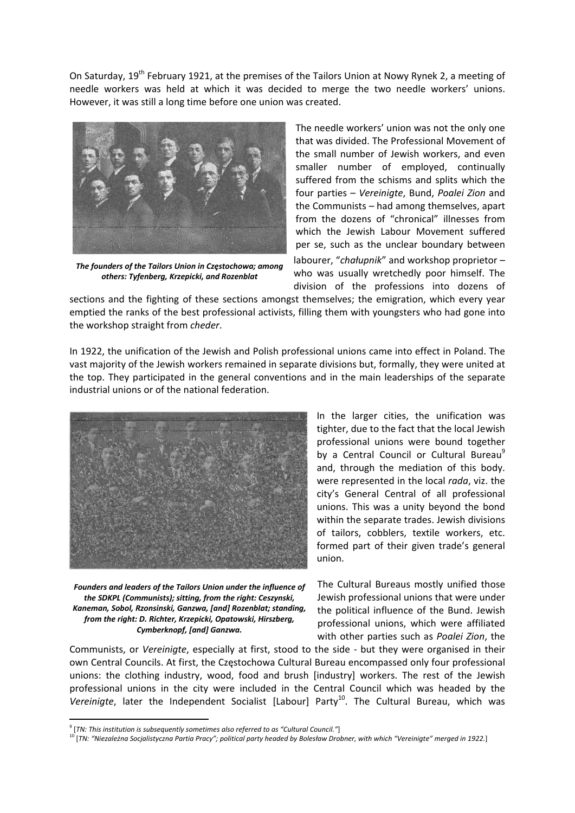On Saturday, 19<sup>th</sup> February 1921, at the premises of the Tailors Union at Nowy Rynek 2, a meeting of needle workers was held at which it was decided to merge the two needle workers' unions. However, it was still a long time before one union was created.



*The founders of the Tailors Union in Częstochowa; among others: Tyfenberg, Krzepicki, and Rozenblat* 

The needle workers' union was not the only one that was divided. The Professional Movement of the small number of Jewish workers, and even smaller number of employed, continually suffered from the schisms and splits which the four parties – *Vereinigte*, Bund, *Poalei Zion* and the Communists – had among themselves, apart from the dozens of "chronical" illnesses from which the Jewish Labour Movement suffered per se, such as the unclear boundary between labourer, "*chałupnik*" and workshop proprietor – who was usually wretchedly poor himself. The division of the professions into dozens of

sections and the fighting of these sections amongst themselves; the emigration, which every year emptied the ranks of the best professional activists, filling them with youngsters who had gone into the workshop straight from *cheder*.

In 1922, the unification of the Jewish and Polish professional unions came into effect in Poland. The vast majority of the Jewish workers remained in separate divisions but, formally, they were united at the top. They participated in the general conventions and in the main leaderships of the separate industrial unions or of the national federation.



*Founders and leaders of the Tailors Union under the influence of the SDKPL (Communists); sitting, from the right: Ceszynski, Kaneman, Sobol, Rzonsinski, Ganzwa, [and] Rozenblat; standing, from the right: D. Richter, Krzepicki, Opatowski, Hirszberg, Cymberknopf, [and] Ganzwa.*

Communists, or *Vereinigte*, especially at first, stood to the side ‐ but they were organised in their own Central Councils. At first, the Częstochowa Cultural Bureau encompassed only four professional unions: the clothing industry, wood, food and brush [industry] workers. The rest of the Jewish professional unions in the city were included in the Central Council which was headed by the Vereinigte, later the Independent Socialist [Labour] Party<sup>10</sup>. The Cultural Bureau, which was

In the larger cities, the unification was tighter, due to the fact that the local Jewish professional unions were bound together by a Central Council or Cultural Bureau<sup>9</sup> and, through the mediation of this body. were represented in the local *rada*, viz. the city's General Central of all professional unions. This was a unity beyond the bond within the separate trades. Jewish divisions of tailors, cobblers, textile workers, etc. formed part of their given trade's general union.

The Cultural Bureaus mostly unified those Jewish professional unions that were under the political influence of the Bund. Jewish professional unions, which were affiliated with other parties such as *Poalei Zion*, the

<sup>9</sup> [*TN: This institution is subsequently sometimes also referred to as "Cultural Council."*]

<sup>&</sup>lt;sup>10</sup> [TN: "Niezależna Socjalistyczna Partia Pracy"; political party headed by Bolesław Drobner, with which "Vereinigte" merged in 1922.]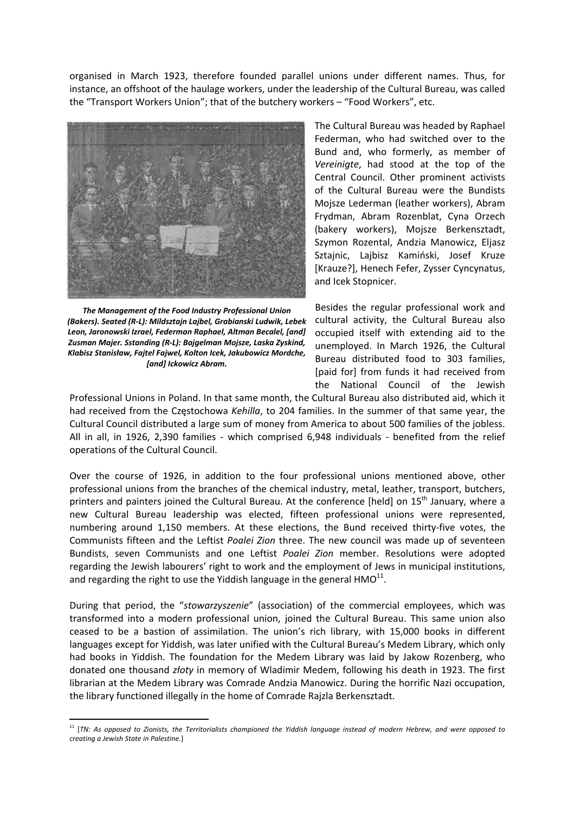organised in March 1923, therefore founded parallel unions under different names. Thus, for instance, an offshoot of the haulage workers, under the leadership of the Cultural Bureau, was called the "Transport Workers Union"; that of the butchery workers – "Food Workers", etc.



*The Management of the Food Industry Professional Union (Bakers). Seated (R‐L): Mildsztajn Lajbel, Grabianski Ludwik, Lebek Leon, Jaronowski Izrael, Federman Raphael, Altman Becalel, [and] Zusman Majer. Sstanding (R‐L): Bajgelman Mojsze, Laska Zyskind, Klabisz Stanisław, Fajtel Fajwel, Kolton Icek, Jakubowicz Mordche, [and] Ickowicz Abram.*

The Cultural Bureau was headed by Raphael Federman, who had switched over to the Bund and, who formerly, as member of *Vereinigte*, had stood at the top of the Central Council. Other prominent activists of the Cultural Bureau were the Bundists Mojsze Lederman (leather workers), Abram Frydman, Abram Rozenblat, Cyna Orzech (bakery workers), Mojsze Berkensztadt, Szymon Rozental, Andzia Manowicz, Eljasz Sztajnic, Lajbisz Kamiński, Josef Kruze [Krauze?], Henech Fefer, Zysser Cyncynatus, and Icek Stopnicer.

Besides the regular professional work and cultural activity, the Cultural Bureau also occupied itself with extending aid to the unemployed. In March 1926, the Cultural Bureau distributed food to 303 families, [paid for] from funds it had received from the National Council of the Jewish

Professional Unions in Poland. In that same month, the Cultural Bureau also distributed aid, which it had received from the Częstochowa *Kehilla*, to 204 families. In the summer of that same year, the Cultural Council distributed a large sum of money from America to about 500 families of the jobless. All in all, in 1926, 2,390 families - which comprised 6,948 individuals - benefited from the relief operations of the Cultural Council.

Over the course of 1926, in addition to the four professional unions mentioned above, other professional unions from the branches of the chemical industry, metal, leather, transport, butchers, printers and painters joined the Cultural Bureau. At the conference [held] on 15<sup>th</sup> January, where a new Cultural Bureau leadership was elected, fifteen professional unions were represented, numbering around 1,150 members. At these elections, the Bund received thirty-five votes, the Communists fifteen and the Leftist *Poalei Zion* three. The new council was made up of seventeen Bundists, seven Communists and one Leftist *Poalei Zion* member. Resolutions were adopted regarding the Jewish labourers' right to work and the employment of Jews in municipal institutions, and regarding the right to use the Yiddish language in the general  $HMO^{11}$ .

During that period, the "*stowarzyszenie*" (association) of the commercial employees, which was transformed into a modern professional union, joined the Cultural Bureau. This same union also ceased to be a bastion of assimilation. The union's rich library, with 15,000 books in different languages except for Yiddish, was later unified with the Cultural Bureau's Medem Library, which only had books in Yiddish. The foundation for the Medem Library was laid by Jakow Rozenberg, who donated one thousand *złoty* in memory of Wladimir Medem, following his death in 1923. The first librarian at the Medem Library was Comrade Andzia Manowicz. During the horrific Nazi occupation, the library functioned illegally in the home of Comrade Rajzla Berkensztadt.

 $11$  [TN: As opposed to Zionists, the Territorialists championed the Yiddish language instead of modern Hebrew, and were opposed to *creating a Jewish State in Palestine.*]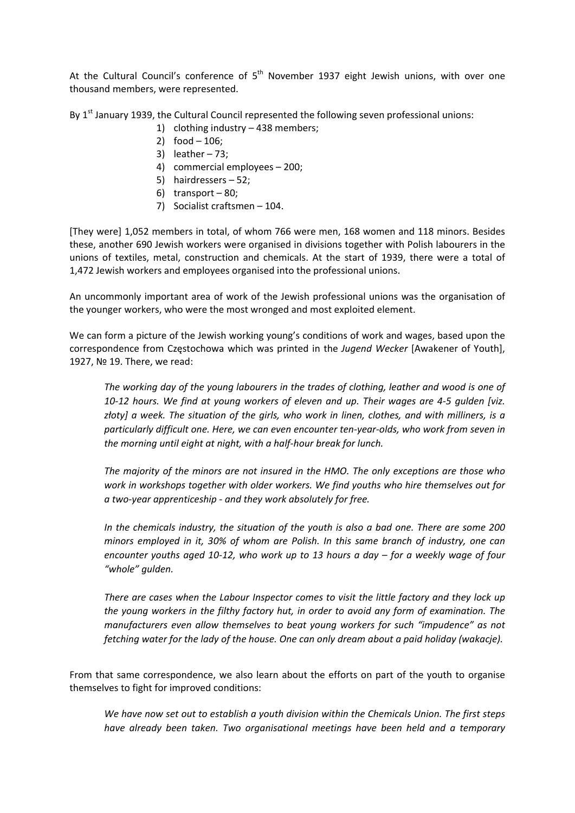At the Cultural Council's conference of  $5<sup>th</sup>$  November 1937 eight Jewish unions, with over one thousand members, were represented.

By 1<sup>st</sup> January 1939, the Cultural Council represented the following seven professional unions:

- 1) clothing industry 438 members;
- 2) food 106;
- 3) leather 73;
- 4) commercial employees 200;
- 5) hairdressers 52;
- 6) transport 80;
- 7) Socialist craftsmen 104.

[They were] 1,052 members in total, of whom 766 were men, 168 women and 118 minors. Besides these, another 690 Jewish workers were organised in divisions together with Polish labourers in the unions of textiles, metal, construction and chemicals. At the start of 1939, there were a total of 1,472 Jewish workers and employees organised into the professional unions.

An uncommonly important area of work of the Jewish professional unions was the organisation of the younger workers, who were the most wronged and most exploited element.

We can form a picture of the Jewish working young's conditions of work and wages, based upon the correspondence from Częstochowa which was printed in the *Jugend Wecker* [Awakener of Youth], 1927, № 19. There, we read:

*The working day of the young labourers in the trades of clothing, leather and wood is one of* 10-12 hours. We find at young workers of eleven and up. Their wages are 4-5 gulden [viz. złoty] a week. The situation of the girls, who work in linen, clothes, and with milliners, is a *particularly difficult one. Here, we can even encounter ten‐year‐olds, who work from seven in the morning until eight at night, with a half‐hour break for lunch.*

*The majority of the minors are not insured in the HMO. The only exceptions are those who work in workshops together with older workers. We find youths who hire themselves out for a two‐year apprenticeship ‐ and they work absolutely for free.*

*In the chemicals industry, the situation of the youth is also a bad one. There are some 200 minors employed in it, 30% of whom are Polish. In this same branch of industry, one can* encounter youths aged 10-12, who work up to 13 hours a day  $-$  for a weekly wage of four *"whole" gulden.* 

*There are cases when the Labour Inspector comes to visit the little factory and they lock up the young workers in the filthy factory hut, in order to avoid any form of examination. The manufacturers even allow themselves to beat young workers for such "impudence" as not fetching water for the lady of the house. One can only dream about a paid holiday (wakacje).* 

From that same correspondence, we also learn about the efforts on part of the youth to organise themselves to fight for improved conditions:

*We have now set out to establish a youth division within the Chemicals Union. The first steps have already been taken. Two organisational meetings have been held and a temporary*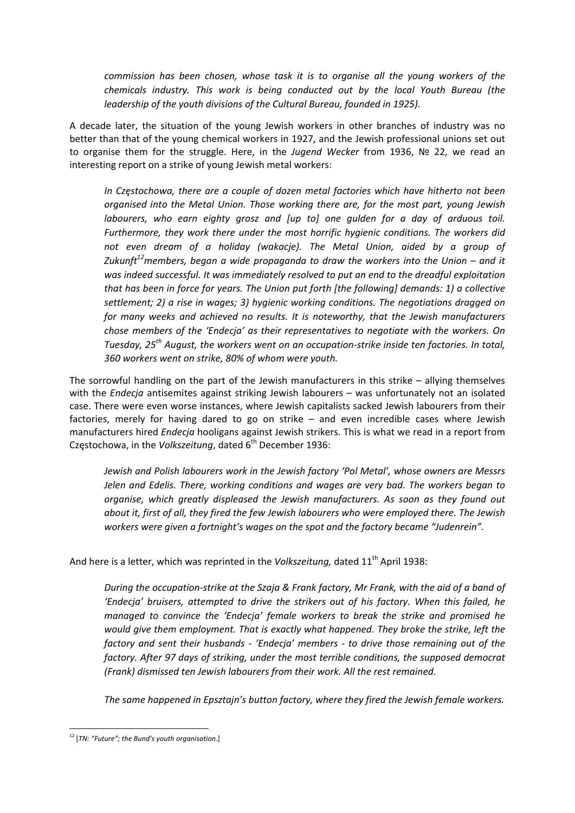*commission has been chosen, whose task it is to organise all the young workers of the chemicals industry. This work is being conducted out by the local Youth Bureau (the leadership of the youth divisions of the Cultural Bureau, founded in 1925).*

A decade later, the situation of the young Jewish workers in other branches of industry was no better than that of the young chemical workers in 1927, and the Jewish professional unions set out to organise them for the struggle. Here, in the *Jugend Wecker* from 1936, № 22, we read an interesting report on a strike of young Jewish metal workers:

*In Częstochowa, there are a couple of dozen metal factories which have hitherto not been organised into the Metal Union. Those working there are, for the most part, young Jewish labourers, who earn eighty grosz and [up to] one gulden for a day of arduous toil. Furthermore, they work there under the most horrific hygienic conditions. The workers did not even dream of a holiday (wakacje). The Metal Union, aided by a group of Zukunft12members, began a wide propaganda to draw the workers into the Union – and it was indeed successful. It was immediately resolved to put an end to the dreadful exploitation that has been in force for years. The Union put forth [the following] demands: 1) a collective settlement; 2) a rise in wages; 3) hygienic working conditions. The negotiations dragged on for many weeks and achieved no results. It is noteworthy, that the Jewish manufacturers chose members of the 'Endecja' as their representatives to negotiate with the workers. On Tuesday, 25th August, the workers went on an occupation‐strike inside ten factories. In total, 360 workers went on strike, 80% of whom were youth.*

The sorrowful handling on the part of the Jewish manufacturers in this strike – allying themselves with the *Endecja* antisemites against striking Jewish labourers – was unfortunately not an isolated case. There were even worse instances, where Jewish capitalists sacked Jewish labourers from their factories, merely for having dared to go on strike – and even incredible cases where Jewish manufacturers hired *Endecja* hooligans against Jewish strikers. This is what we read in a report from Częstochowa, in the *Volkszeitung*, dated 6<sup>th</sup> December 1936:

*Jewish and Polish labourers work in the Jewish factory 'Pol Metal', whose owners are Messrs Jelen and Edelis. There, working conditions and wages are very bad. The workers began to organise, which greatly displeased the Jewish manufacturers. As soon as they found out about it, first of all, they fired the few Jewish labourers who were employed there. The Jewish workers were given a fortnight's wages on the spot and the factory became "Judenrein".*

And here is a letter, which was reprinted in the *Volkszeitung*, dated 11<sup>th</sup> April 1938:

During the occupation-strike at the Szaja & Frank factory, Mr Frank, with the aid of a band of *'Endecja' bruisers, attempted to drive the strikers out of his factory. When this failed, he managed to convince the 'Endecja' female workers to break the strike and promised he would give them employment. That is exactly what happened. They broke the strike, left the factory and sent their husbands ‐ 'Endecja' members ‐ to drive those remaining out of the factory. After 97 days of striking, under the most terrible conditions, the supposed democrat (Frank) dismissed ten Jewish labourers from their work. All the rest remained.*

*The same happened in Epsztajn's button factory, where they fired the Jewish female workers.* 

 <sup>12</sup> [*TN: "Future"; the Bund's youth organisation*.]